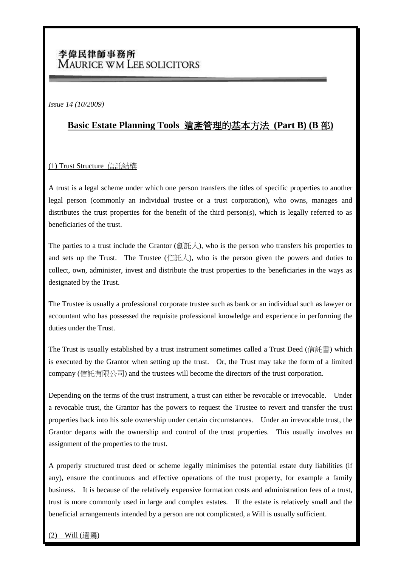# 李偉民律師事務所 **MAURICE WM LEE SOLICITORS**

*Issue 14 (10/2009)*

## **Basic Estate Planning Tools** 遺產管理的基本方法 **(Part B) (B** 部**)**

### (1) Trust Structure 信託結構

A trust is a legal scheme under which one person transfers the titles of specific properties to another legal person (commonly an individual trustee or a trust corporation), who owns, manages and distributes the trust properties for the benefit of the third person(s), which is legally referred to as beneficiaries of the trust.

The parties to a trust include the Grantor (創託人), who is the person who transfers his properties to and sets up the Trust. The Trustee (信託人), who is the person given the powers and duties to collect, own, administer, invest and distribute the trust properties to the beneficiaries in the ways as designated by the Trust.

The Trustee is usually a professional corporate trustee such as bank or an individual such as lawyer or accountant who has possessed the requisite professional knowledge and experience in performing the duties under the Trust.

The Trust is usually established by a trust instrument sometimes called a Trust Deed (信託書) which is executed by the Grantor when setting up the trust. Or, the Trust may take the form of a limited company (信託有限公司) and the trustees will become the directors of the trust corporation.

Depending on the terms of the trust instrument, a trust can either be revocable or irrevocable. Under a revocable trust, the Grantor has the powers to request the Trustee to revert and transfer the trust properties back into his sole ownership under certain circumstances. Under an irrevocable trust, the Grantor departs with the ownership and control of the trust properties. This usually involves an assignment of the properties to the trust.

A properly structured trust deed or scheme legally minimises the potential estate duty liabilities (if any), ensure the continuous and effective operations of the trust property, for example a family business. It is because of the relatively expensive formation costs and administration fees of a trust, trust is more commonly used in large and complex estates. If the estate is relatively small and the beneficial arrangements intended by a person are not complicated, a Will is usually sufficient.

### Will (潰囑)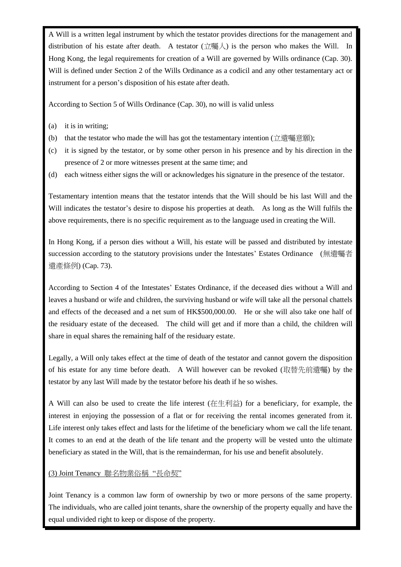A Will is a written legal instrument by which the testator provides directions for the management and distribution of his estate after death. A testator  $(\dot{\mathbb{Z}}$ 囑人) is the person who makes the Will. In Hong Kong, the legal requirements for creation of a Will are governed by Wills ordinance (Cap. 30). Will is defined under Section 2 of the Wills Ordinance as a codicil and any other testamentary act or instrument for a person's disposition of his estate after death.

According to Section 5 of Wills Ordinance (Cap. 30), no will is valid unless

- (a) it is in writing;
- (b) that the testator who made the will has got the testamentary intention  $(1.11)(\frac{11.11}{2})$
- (c) it is signed by the testator, or by some other person in his presence and by his direction in the presence of 2 or more witnesses present at the same time; and
- (d) each witness either signs the will or acknowledges his signature in the presence of the testator.

Testamentary intention means that the testator intends that the Will should be his last Will and the Will indicates the testator's desire to dispose his properties at death. As long as the Will fulfils the above requirements, there is no specific requirement as to the language used in creating the Will.

In Hong Kong, if a person dies without a Will, his estate will be passed and distributed by intestate succession according to the statutory provisions under the Intestates' Estates Ordinance (無遺囑者 遺產條例) (Cap. 73).

According to Section 4 of the Intestates' Estates Ordinance, if the deceased dies without a Will and leaves a husband or wife and children, the surviving husband or wife will take all the personal chattels and effects of the deceased and a net sum of HK\$500,000.00. He or she will also take one half of the residuary estate of the deceased. The child will get and if more than a child, the children will share in equal shares the remaining half of the residuary estate.

Legally, a Will only takes effect at the time of death of the testator and cannot govern the disposition of his estate for any time before death. A Will however can be revoked (取替先前遺囑) by the testator by any last Will made by the testator before his death if he so wishes.

A Will can also be used to create the life interest (在生利益) for a beneficiary, for example, the interest in enjoying the possession of a flat or for receiving the rental incomes generated from it. Life interest only takes effect and lasts for the lifetime of the beneficiary whom we call the life tenant. It comes to an end at the death of the life tenant and the property will be vested unto the ultimate beneficiary as stated in the Will, that is the remainderman, for his use and benefit absolutely.

### (3) Joint Tenancy 聯名物業俗稱 "長命契"

Joint Tenancy is a common law form of ownership by two or more persons of the same property. The individuals, who are called joint tenants, share the ownership of the property equally and have the equal undivided right to keep or dispose of the property.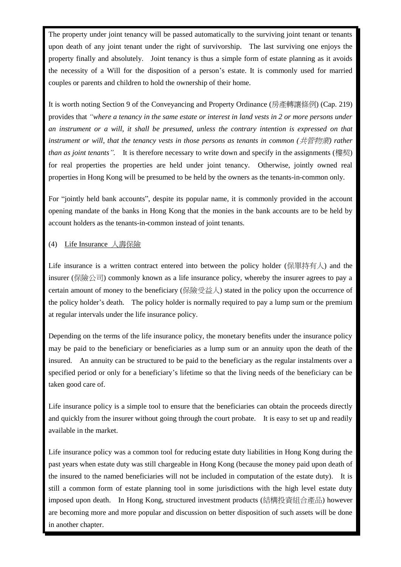The property under joint tenancy will be passed automatically to the surviving joint tenant or tenants upon death of any joint tenant under the right of survivorship. The last surviving one enjoys the property finally and absolutely. Joint tenancy is thus a simple form of estate planning as it avoids the necessity of a Will for the disposition of a person's estate. It is commonly used for married couples or parents and children to hold the ownership of their home.

It is worth noting Section 9 of the Conveyancing and Property Ordinance (房產轉讓條例) (Cap. 219) provides that *"where a tenancy in the same estate or interest in land vests in 2 or more persons under an instrument or a will, it shall be presumed, unless the contrary intention is expressed on that instrument or will, that the tenancy vests in those persons as tenants in common (*共管物業*) rather than as joint tenants".* It is therefore necessary to write down and specify in the assignments (樓契) for real properties the properties are held under joint tenancy. Otherwise, jointly owned real properties in Hong Kong will be presumed to be held by the owners as the tenants-in-common only.

For "jointly held bank accounts", despite its popular name, it is commonly provided in the account opening mandate of the banks in Hong Kong that the monies in the bank accounts are to be held by account holders as the tenants-in-common instead of joint tenants.

### (4) Life Insurance 人壽保險

Life insurance is a written contract entered into between the policy holder (保單持有人) and the insurer (保險公司) commonly known as a life insurance policy, whereby the insurer agrees to pay a certain amount of money to the beneficiary (保險受益人) stated in the policy upon the occurrence of the policy holder's death. The policy holder is normally required to pay a lump sum or the premium at regular intervals under the life insurance policy.

Depending on the terms of the life insurance policy, the monetary benefits under the insurance policy may be paid to the beneficiary or beneficiaries as a lump sum or an annuity upon the death of the insured. An annuity can be structured to be paid to the beneficiary as the regular instalments over a specified period or only for a beneficiary's lifetime so that the living needs of the beneficiary can be taken good care of.

Life insurance policy is a simple tool to ensure that the beneficiaries can obtain the proceeds directly and quickly from the insurer without going through the court probate. It is easy to set up and readily available in the market.

Life insurance policy was a common tool for reducing estate duty liabilities in Hong Kong during the past years when estate duty was still chargeable in Hong Kong (because the money paid upon death of the insured to the named beneficiaries will not be included in computation of the estate duty). It is still a common form of estate planning tool in some jurisdictions with the high level estate duty imposed upon death. In Hong Kong, structured investment products (結構投資組合產品) however are becoming more and more popular and discussion on better disposition of such assets will be done in another chapter.